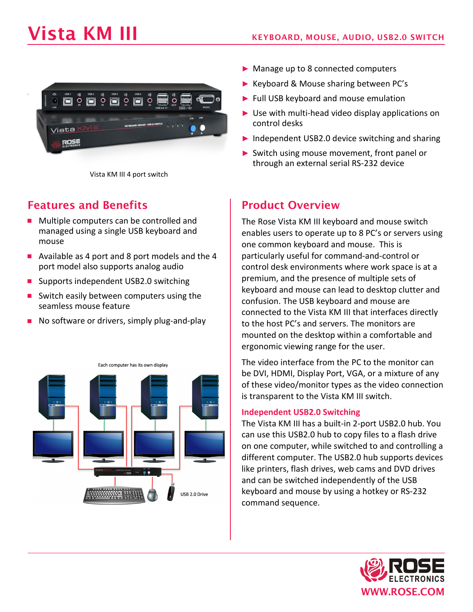# Vista KM III KEYBOARD, MOUSE, AUDIO, USB2.0 SWITCH



Vista KM III 4 port switch

# Features and Benefits

- **Multiple computers can be controlled and** managed using a single USB keyboard and mouse
- Available as 4 port and 8 port models and the 4 port model also supports analog audio
- Supports independent USB2.0 switching
- Switch easily between computers using the seamless mouse feature
- $\blacksquare$  No software or drivers, simply plug-and-play



- ► Manage up to 8 connected computers
- ► Keyboard & Mouse sharing between PC's
- ► Full USB keyboard and mouse emulation
- $\blacktriangleright$  Use with multi-head video display applications on control desks
- ► Independent USB2.0 device switching and sharing
- ► Switch using mouse movement, front panel or through an external serial RS-232 device

# Product Overview

The Rose Vista KM III keyboard and mouse switch enables users to operate up to 8 PC's or servers using one common keyboard and mouse. This is particularly useful for command-and-control or control desk environments where work space is at a premium, and the presence of multiple sets of keyboard and mouse can lead to desktop clutter and confusion. The USB keyboard and mouse are connected to the Vista KM III that interfaces directly to the host PC's and servers. The monitors are mounted on the desktop within a comfortable and ergonomic viewing range for the user.

The video interface from the PC to the monitor can be DVI, HDMI, Display Port, VGA, or a mixture of any of these video/monitor types as the video connection is transparent to the Vista KM III switch.

#### **Independent USB2.0 Switching**

The Vista KM III has a built-in 2-port USB2.0 hub. You can use this USB2.0 hub to copy files to a flash drive on one computer, while switched to and controlling a different computer. The USB2.0 hub supports devices like printers, flash drives, web cams and DVD drives and can be switched independently of the USB keyboard and mouse by using a hotkey or RS-232 command sequence.